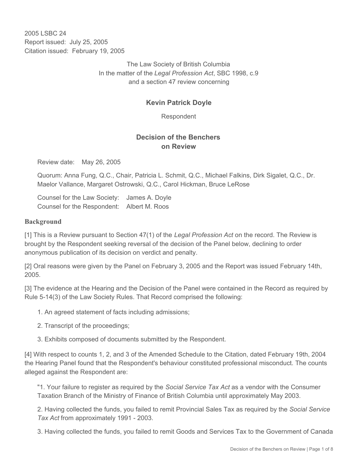2005 LSBC 24 Report issued: July 25, 2005 Citation issued: February 19, 2005

> The Law Society of British Columbia In the matter of the *Legal Profession Act*, SBC 1998, c.9 and a section 47 review concerning

# **Kevin Patrick Doyle**

Respondent

## **Decision of the Benchers on Review**

Review date: May 26, 2005

Quorum: Anna Fung, Q.C., Chair, Patricia L. Schmit, Q.C., Michael Falkins, Dirk Sigalet, Q.C., Dr. Maelor Vallance, Margaret Ostrowski, Q.C., Carol Hickman, Bruce LeRose

Counsel for the Law Society: James A. Doyle Counsel for the Respondent: Albert M. Roos

### **Background**

[1] This is a Review pursuant to Section 47(1) of the *Legal Profession Act* on the record. The Review is brought by the Respondent seeking reversal of the decision of the Panel below, declining to order anonymous publication of its decision on verdict and penalty.

[2] Oral reasons were given by the Panel on February 3, 2005 and the Report was issued February 14th, 2005.

[3] The evidence at the Hearing and the Decision of the Panel were contained in the Record as required by Rule 5-14(3) of the Law Society Rules. That Record comprised the following:

1. An agreed statement of facts including admissions;

- 2. Transcript of the proceedings;
- 3. Exhibits composed of documents submitted by the Respondent.

[4] With respect to counts 1, 2, and 3 of the Amended Schedule to the Citation, dated February 19th, 2004 the Hearing Panel found that the Respondent's behaviour constituted professional misconduct. The counts alleged against the Respondent are:

"1. Your failure to register as required by the *Social Service Tax Act* as a vendor with the Consumer Taxation Branch of the Ministry of Finance of British Columbia until approximately May 2003.

2. Having collected the funds, you failed to remit Provincial Sales Tax as required by the *Social Service Tax Act* from approximately 1991 - 2003.

3. Having collected the funds, you failed to remit Goods and Services Tax to the Government of Canada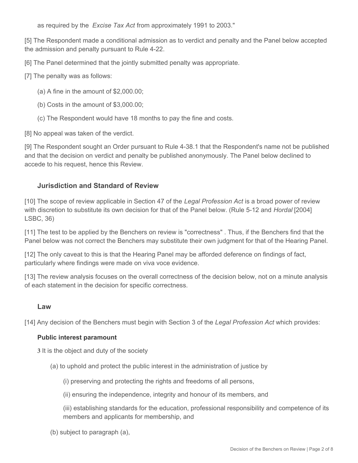as required by the *Excise Tax Act* from approximately 1991 to 2003."

[5] The Respondent made a conditional admission as to verdict and penalty and the Panel below accepted the admission and penalty pursuant to Rule 4-22.

[6] The Panel determined that the jointly submitted penalty was appropriate.

- [7] The penalty was as follows:
	- (a) A fine in the amount of \$2,000.00;
	- (b) Costs in the amount of \$3,000.00;
	- (c) The Respondent would have 18 months to pay the fine and costs.

[8] No appeal was taken of the verdict.

[9] The Respondent sought an Order pursuant to Rule 4-38.1 that the Respondent's name not be published and that the decision on verdict and penalty be published anonymously. The Panel below declined to accede to his request, hence this Review.

## **Jurisdiction and Standard of Review**

[10] The scope of review applicable in Section 47 of the *Legal Profession Act* is a broad power of review with discretion to substitute its own decision for that of the Panel below. (Rule 5-12 and *Hordal* [2004] LSBC, 36)

[11] The test to be applied by the Benchers on review is "correctness" . Thus, if the Benchers find that the Panel below was not correct the Benchers may substitute their own judgment for that of the Hearing Panel.

[12] The only caveat to this is that the Hearing Panel may be afforded deference on findings of fact, particularly where findings were made on viva voce evidence.

[13] The review analysis focuses on the overall correctness of the decision below, not on a minute analysis of each statement in the decision for specific correctness.

#### **Law**

[14] Any decision of the Benchers must begin with Section 3 of the *Legal Profession Act* which provides:

#### **Public interest paramount**

**3** It is the object and duty of the society

(a) to uphold and protect the public interest in the administration of justice by

(i) preserving and protecting the rights and freedoms of all persons,

(ii) ensuring the independence, integrity and honour of its members, and

(iii) establishing standards for the education, professional responsibility and competence of its members and applicants for membership, and

(b) subject to paragraph (a),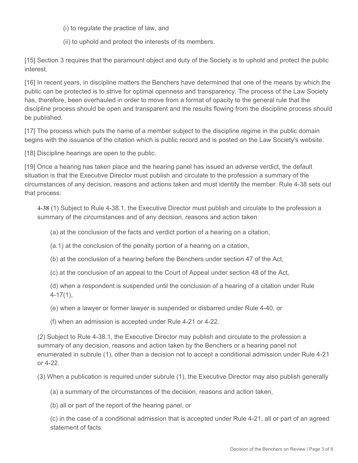(i) to regulate the practice of law, and

(ii) to uphold and protect the interests of its members.

[15] Section 3 requires that the paramount object and duty of the Society is to uphold and protect the public interest.

[16] In recent years, in discipline matters the Benchers have determined that one of the means by which the public can be protected is to strive for optimal openness and transparency. The process of the Law Society has, therefore, been overhauled in order to move from a format of opacity to the general rule that the discipline process should be open and transparent and the results flowing from the discipline process should be published.

[17] The process which puts the name of a member subject to the discipline regime in the public domain begins with the issuance of the citation which is public record and is posted on the Law Society's website.

[18] Discipline hearings are open to the public.

[19] Once a hearing has taken place and the hearing panel has issued an adverse verdict, the default situation is that the Executive Director must publish and circulate to the profession a summary of the circumstances of any decision, reasons and actions taken and must identify the member. Rule 4-38 sets out that process:

**4-38** (1) Subject to Rule 4-38.1, the Executive Director must publish and circulate to the profession a summary of the circumstances and of any decision, reasons and action taken

(a) at the conclusion of the facts and verdict portion of a hearing on a citation,

(a.1) at the conclusion of the penalty portion of a hearing on a citation,

(b) at the conclusion of a hearing before the Benchers under section 47 of the Act,

(c) at the conclusion of an appeal to the Court of Appeal under section 48 of the Act,

(d) when a respondent is suspended until the conclusion of a hearing of a citation under Rule 4-17(1),

(e) when a lawyer or former lawyer is suspended or disbarred under Rule 4-40, or

(f) when an admission is accepted under Rule 4-21 or 4-22.

(2) Subject to Rule 4-38.1, the Executive Director may publish and circulate to the profession a summary of any decision, reasons and action taken by the Benchers or a hearing panel not enumerated in subrule (1), other than a decision not to accept a conditional admission under Rule 4-21 or 4-22.

(3) When a publication is required under subrule (1), the Executive Director may also publish generally

(a) a summary of the circumstances of the decision, reasons and action taken,

(b) all or part of the report of the hearing panel, or

(c) in the case of a conditional admission that is accepted under Rule 4-21, all or part of an agreed statement of facts.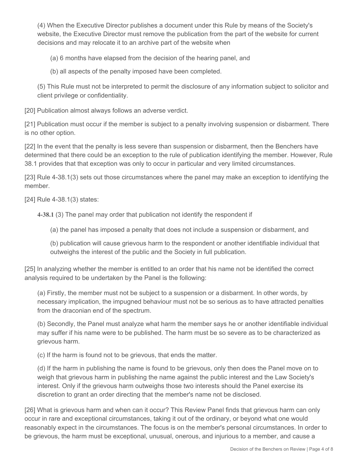(4) When the Executive Director publishes a document under this Rule by means of the Society's website, the Executive Director must remove the publication from the part of the website for current decisions and may relocate it to an archive part of the website when

(a) 6 months have elapsed from the decision of the hearing panel, and

(b) all aspects of the penalty imposed have been completed.

(5) This Rule must not be interpreted to permit the disclosure of any information subject to solicitor and client privilege or confidentiality.

[20] Publication almost always follows an adverse verdict.

[21] Publication must occur if the member is subject to a penalty involving suspension or disbarment. There is no other option.

[22] In the event that the penalty is less severe than suspension or disbarment, then the Benchers have determined that there could be an exception to the rule of publication identifying the member. However, Rule 38.1 provides that that exception was only to occur in particular and very limited circumstances.

[23] Rule 4-38.1(3) sets out those circumstances where the panel may make an exception to identifying the member.

[24] Rule 4-38.1(3) states:

**4-38.1** (3) The panel may order that publication not identify the respondent if

(a) the panel has imposed a penalty that does not include a suspension or disbarment, and

(b) publication will cause grievous harm to the respondent or another identifiable individual that outweighs the interest of the public and the Society in full publication.

[25] In analyzing whether the member is entitled to an order that his name not be identified the correct analysis required to be undertaken by the Panel is the following:

(a) Firstly, the member must not be subject to a suspension or a disbarment. In other words, by necessary implication, the impugned behaviour must not be so serious as to have attracted penalties from the draconian end of the spectrum.

(b) Secondly, the Panel must analyze what harm the member says he or another identifiable individual may suffer if his name were to be published. The harm must be so severe as to be characterized as grievous harm.

(c) If the harm is found not to be grievous, that ends the matter.

(d) If the harm in publishing the name is found to be grievous, only then does the Panel move on to weigh that grievous harm in publishing the name against the public interest and the Law Society's interest. Only if the grievous harm outweighs those two interests should the Panel exercise its discretion to grant an order directing that the member's name not be disclosed.

[26] What is grievous harm and when can it occur? This Review Panel finds that grievous harm can only occur in rare and exceptional circumstances, taking it out of the ordinary, or beyond what one would reasonably expect in the circumstances. The focus is on the member's personal circumstances. In order to be grievous, the harm must be exceptional, unusual, onerous, and injurious to a member, and cause a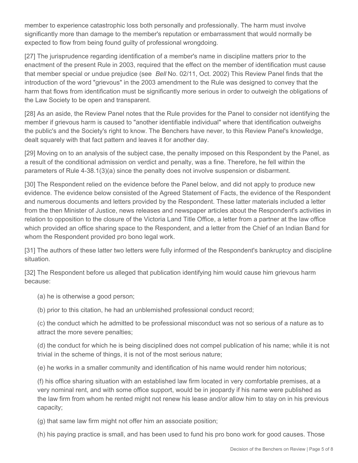member to experience catastrophic loss both personally and professionally. The harm must involve significantly more than damage to the member's reputation or embarrassment that would normally be expected to flow from being found guilty of professional wrongdoing.

[27] The jurisprudence regarding identification of a member's name in discipline matters prior to the enactment of the present Rule in 2003, required that the effect on the member of identification must cause that member special or undue prejudice (see *Bell* No. 02/11, Oct. 2002) This Review Panel finds that the introduction of the word "grievous" in the 2003 amendment to the Rule was designed to convey that the harm that flows from identification must be significantly more serious in order to outweigh the obligations of the Law Society to be open and transparent.

[28] As an aside, the Review Panel notes that the Rule provides for the Panel to consider not identifying the member if grievous harm is caused to "another identifiable individual" where that identification outweighs the public's and the Society's right to know. The Benchers have never, to this Review Panel's knowledge, dealt squarely with that fact pattern and leaves it for another day.

[29] Moving on to an analysis of the subject case, the penalty imposed on this Respondent by the Panel, as a result of the conditional admission on verdict and penalty, was a fine. Therefore, he fell within the parameters of Rule 4-38.1(3)(a) since the penalty does not involve suspension or disbarment.

[30] The Respondent relied on the evidence before the Panel below, and did not apply to produce new evidence. The evidence below consisted of the Agreed Statement of Facts, the evidence of the Respondent and numerous documents and letters provided by the Respondent. These latter materials included a letter from the then Minister of Justice, news releases and newspaper articles about the Respondent's activities in relation to opposition to the closure of the Victoria Land Title Office, a letter from a partner at the law office which provided an office sharing space to the Respondent, and a letter from the Chief of an Indian Band for whom the Respondent provided pro bono legal work.

[31] The authors of these latter two letters were fully informed of the Respondent's bankruptcy and discipline situation.

[32] The Respondent before us alleged that publication identifying him would cause him grievous harm because:

(a) he is otherwise a good person;

(b) prior to this citation, he had an unblemished professional conduct record;

(c) the conduct which he admitted to be professional misconduct was not so serious of a nature as to attract the more severe penalties;

(d) the conduct for which he is being disciplined does not compel publication of his name; while it is not trivial in the scheme of things, it is not of the most serious nature;

(e) he works in a smaller community and identification of his name would render him notorious;

(f) his office sharing situation with an established law firm located in very comfortable premises, at a very nominal rent, and with some office support, would be in jeopardy if his name were published as the law firm from whom he rented might not renew his lease and/or allow him to stay on in his previous capacity;

(g) that same law firm might not offer him an associate position;

(h) his paying practice is small, and has been used to fund his pro bono work for good causes. Those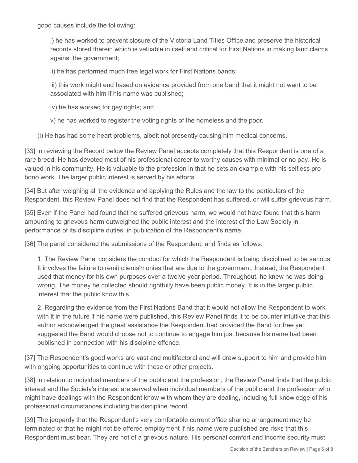good causes include the following:

i) he has worked to prevent closure of the Victoria Land Titles Office and preserve the historical records stored therein which is valuable in itself and critical for First Nations in making land claims against the government;

ii) he has performed much free legal work for First Nations bands;

iii) this work might end based on evidence provided from one band that it might not want to be associated with him if his name was published;

iv) he has worked for gay rights; and

v) he has worked to register the voting rights of the homeless and the poor.

(i) He has had some heart problems, albeit not presently causing him medical concerns.

[33] In reviewing the Record below the Review Panel accepts completely that this Respondent is one of a rare breed. He has devoted most of his professional career to worthy causes with minimal or no pay. He is valued in his community. He is valuable to the profession in that he sets an example with his selfless pro bono work. The larger public interest is served by his efforts.

[34] But after weighing all the evidence and applying the Rules and the law to the particulars of the Respondent, this Review Panel does not find that the Respondent has suffered, or will suffer grievous harm.

[35] Even if the Panel had found that he suffered grievous harm, we would not have found that this harm amounting to grievous harm outweighed the public interest and the interest of the Law Society in performance of its discipline duties, in publication of the Respondent's name.

[36] The panel considered the submissions of the Respondent, and finds as follows:

1. The Review Panel considers the conduct for which the Respondent is being disciplined to be serious. It involves the failure to remit clients'monies that are due to the government. Instead, the Respondent used that money for his own purposes over a twelve year period. Throughout, he knew he was doing wrong. The money he collected should rightfully have been public money. It is in the larger public interest that the public know this.

2. Regarding the evidence from the First Nations Band that it would not allow the Respondent to work with it in the future if his name were published, this Review Panel finds it to be counter intuitive that this author acknowledged the great assistance the Respondent had provided the Band for free yet suggested the Band would choose not to continue to engage him just because his name had been published in connection with his discipline offence.

[37] The Respondent's good works are vast and multifactoral and will draw support to him and provide him with ongoing opportunities to continue with these or other projects.

[38] In relation to individual members of the public and the profession, the Review Panel finds that the public interest and the Society's interest are served when individual members of the public and the profession who might have dealings with the Respondent know with whom they are dealing, including full knowledge of his professional circumstances including his discipline record.

[39] The jeopardy that the Respondent's very comfortable current office sharing arrangement may be terminated or that he might not be offered employment if his name were published are risks that this Respondent must bear. They are not of a grievous nature. His personal comfort and income security must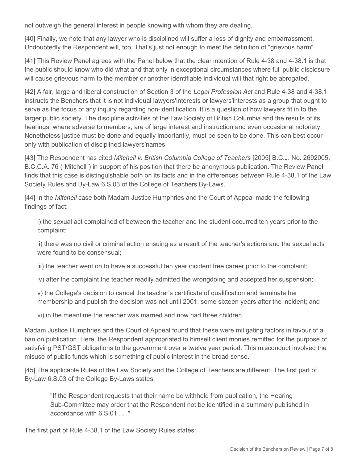not outweigh the general interest in people knowing with whom they are dealing.

[40] Finally, we note that any lawyer who is disciplined will suffer a loss of dignity and embarrassment. Undoubtedly the Respondent will, too. That's just not enough to meet the definition of "grievous harm" .

[41] This Review Panel agrees with the Panel below that the clear intention of Rule 4-38 and 4-38.1 is that the public should know who did what and that only in exceptional circumstances where full public disclosure will cause grievous harm to the member or another identifiable individual will that right be abrogated.

[42] A fair, large and liberal construction of Section 3 of the *Legal Profession Act* and Rule 4-38 and 4-38.1 instructs the Benchers that it is not individual lawyers'interests or lawyers'interests as a group that ought to serve as the focus of any inquiry regarding non-identification. It is a question of how lawyers fit in to the larger public society. The discipline activities of the Law Society of British Columbia and the results of its hearings, where adverse to members, are of large interest and instruction and even occasional notoriety. Nonetheless justice must be done and equally importantly, must be seen to be done. This can best occur only with publication of disciplined lawyers'names.

[43] The Respondent has cited *Mitchell v. British Columbia College of Teachers* [2005] B.C.J. No. 2692005, B.C.C.A. 76 ("Mitchell") in support of his position that there be anonymous publication. The Review Panel finds that this case is distinguishable both on its facts and in the differences between Rule 4-38.1 of the Law Society Rules and By-Law 6.S.03 of the College of Teachers By-Laws.

[44] In the *Mitchell* case both Madam Justice Humphries and the Court of Appeal made the following findings of fact:

i) the sexual act complained of between the teacher and the student occurred ten years prior to the complaint;

ii) there was no civil or criminal action ensuing as a result of the teacher's actions and the sexual acts were found to be consensual;

iii) the teacher went on to have a successful ten year incident free career prior to the complaint;

iv) after the complaint the teacher readily admitted the wrongdoing and accepted her suspension;

v) the College's decision to cancel the teacher's certificate of qualification and terminate her membership and publish the decision was not until 2001, some sixteen years after the incident; and

vi) in the meantime the teacher was married and now had three children.

Madam Justice Humphries and the Court of Appeal found that these were mitigating factors in favour of a ban on publication. Here, the Respondent appropriated to himself client monies remitted for the purpose of satisfying PST/GST obligations to the government over a twelve year period. This misconduct involved the misuse of public funds which is something of public interest in the broad sense.

[45] The applicable Rules of the Law Society and the College of Teachers are different. The first part of By-Law 6.S.03 of the College By-Laws states:

"If the Respondent requests that their name be withheld from publication, the Hearing Sub-Committee may order that the Respondent not be identified in a summary published in accordance with 6.S.01 . . ."

The first part of Rule 4-38.1 of the Law Society Rules states: